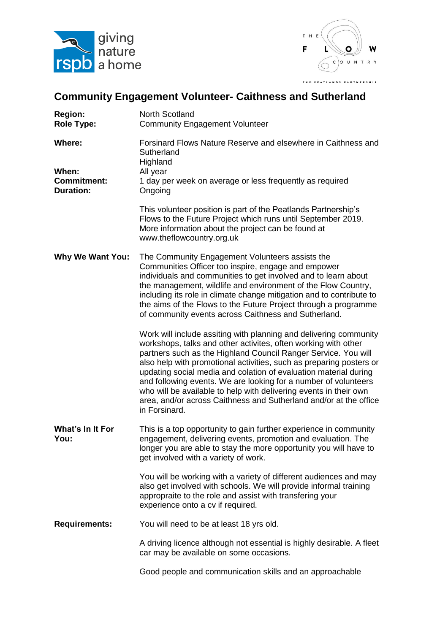



## **Community Engagement Volunteer- Caithness and Sutherland**

| <b>Region:</b><br><b>Role Type:</b>                              | <b>North Scotland</b><br><b>Community Engagement Volunteer</b>                                                                                                                                                                                                                                                                                                                                                                                                                                                                                                                 |
|------------------------------------------------------------------|--------------------------------------------------------------------------------------------------------------------------------------------------------------------------------------------------------------------------------------------------------------------------------------------------------------------------------------------------------------------------------------------------------------------------------------------------------------------------------------------------------------------------------------------------------------------------------|
| <b>Where:</b><br>When:<br><b>Commitment:</b><br><b>Duration:</b> | Forsinard Flows Nature Reserve and elsewhere in Caithness and<br>Sutherland<br>Highland<br>All year<br>1 day per week on average or less frequently as required<br>Ongoing                                                                                                                                                                                                                                                                                                                                                                                                     |
|                                                                  | This volunteer position is part of the Peatlands Partnership's<br>Flows to the Future Project which runs until September 2019.<br>More information about the project can be found at<br>www.theflowcountry.org.uk                                                                                                                                                                                                                                                                                                                                                              |
| <b>Why We Want You:</b>                                          | The Community Engagement Volunteers assists the<br>Communities Officer too inspire, engage and empower<br>individuals and communities to get involved and to learn about<br>the management, wildlife and environment of the Flow Country,<br>including its role in climate change mitigation and to contribute to<br>the aims of the Flows to the Future Project through a programme<br>of community events across Caithness and Sutherland.                                                                                                                                   |
|                                                                  | Work will include assiting with planning and delivering community<br>workshops, talks and other activites, often working with other<br>partners such as the Highland Council Ranger Service. You will<br>also help with promotional activities, such as preparing posters or<br>updating social media and colation of evaluation material during<br>and following events. We are looking for a number of volunteers<br>who will be available to help with delivering events in their own<br>area, and/or across Caithness and Sutherland and/or at the office<br>in Forsinard. |
| What's In It For<br>You:                                         | This is a top opportunity to gain further experience in community<br>engagement, delivering events, promotion and evaluation. The<br>longer you are able to stay the more opportunity you will have to<br>get involved with a variety of work.                                                                                                                                                                                                                                                                                                                                 |
|                                                                  | You will be working with a variety of different audiences and may<br>also get involved with schools. We will provide informal training<br>appropraite to the role and assist with transfering your<br>experience onto a cv if required.                                                                                                                                                                                                                                                                                                                                        |
| <b>Requirements:</b>                                             | You will need to be at least 18 yrs old.                                                                                                                                                                                                                                                                                                                                                                                                                                                                                                                                       |
|                                                                  | A driving licence although not essential is highly desirable. A fleet<br>car may be available on some occasions.                                                                                                                                                                                                                                                                                                                                                                                                                                                               |
|                                                                  | Good people and communication skills and an approachable                                                                                                                                                                                                                                                                                                                                                                                                                                                                                                                       |